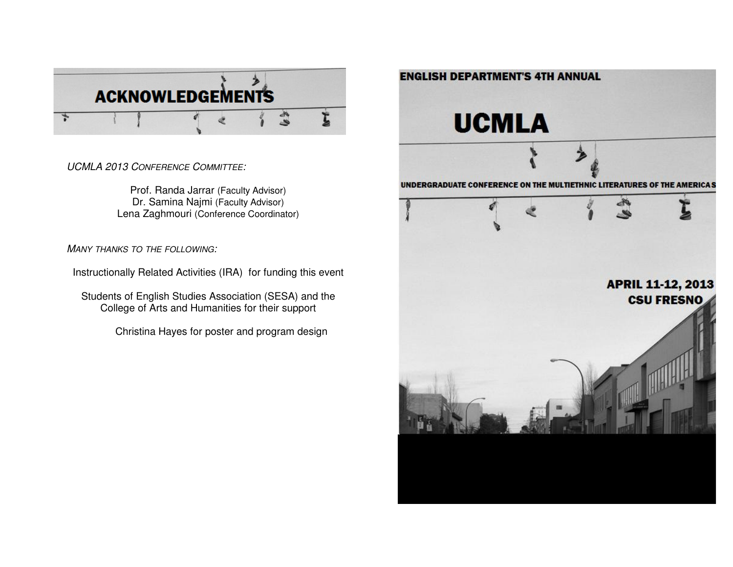

UCMLA 2013 CONFERENCE COMMITTEE:

Prof. Randa Jarrar (Faculty Advisor) Dr. Samina Najmi (Faculty Advisor)Lena Zaghmouri (Conference Coordinator)

MANY THANKS TO THE FOLLOWING:

Instructionally Related Activities (IRA) for funding this event

Students of English Studies Association (SESA) and the College of Arts and Humanities for their support

Christina Hayes for poster and program design

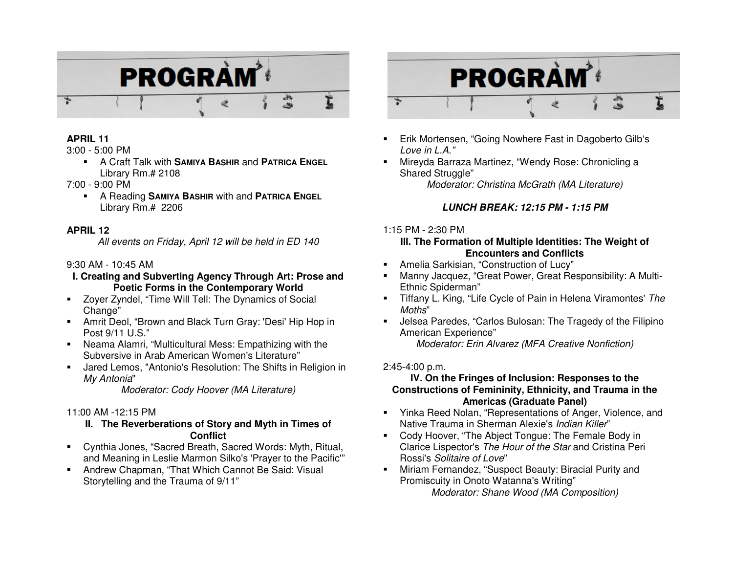

### **APRIL 11**

3:00 - 5:00 PM

- A Craft Talk with **SAMIYA BASHIR** and **PATRICA ENGEL**Library Rm.# 2108
- 7:00 9:00 PM
	- A Reading **SAMIYA BASHIR** with and **PATRICA ENGEL**Library Rm.# 2206

### **APRIL 12**

All events on Friday, April 12 will be held in ED 140

## 9:30 AM - 10:45 AM

### **I. Creating and Subverting Agency Through Art: Prose and Poetic Forms in the Contemporary World**

- Zoyer Zyndel, "Time Will Tell: The Dynamics of Social Change"
- Amrit Deol, "Brown and Black Turn Gray: 'Desi' Hip Hop in Post 9/11 U.S."
- Neama Alamri, "Multicultural Mess: Empathizing with the Subversive in Arab American Women's Literature"
- Jared Lemos, "Antonio's Resolution: The Shifts in Religion in My Antonia"

Moderator: Cody Hoover (MA Literature)

# 11:00 AM -12:15 PM

### **II. The Reverberations of Story and Myth in Times of Conflict**

- Cynthia Jones, "Sacred Breath, Sacred Words: Myth, Ritual, and Meaning in Leslie Marmon Silko's 'Prayer to the Pacific'"
- Andrew Chapman, "That Which Cannot Be Said: Visual Storytelling and the Trauma of 9/11"



- Erik Mortensen, "Going Nowhere Fast in Dagoberto Gilb's Love in L.A."
- Mireyda Barraza Martinez, "Wendy Rose: Chronicling a Shared Struggle" Moderator: Christina McGrath (MA Literature)

# **LUNCH BREAK: 12:15 PM - 1:15 PM**

## 1:15 PM - 2:30 PM

### **III. The Formation of Multiple Identities: The Weight of Encounters and Conflicts**

- Amelia Sarkisian, "Construction of Lucy"
- Manny Jacquez, "Great Power, Great Responsibility: A Multi-Ethnic Spiderman"
- Tiffany L. King, "Life Cycle of Pain in Helena Viramontes' The Moths"
- Jelsea Paredes, "Carlos Bulosan: The Tragedy of the Filipino American Experience" Moderator: Erin Alvarez (MFA Creative Nonfiction)

# 2:45-4:00 p.m.

### **IV. On the Fringes of Inclusion: Responses to the Constructions of Femininity, Ethnicity, and Trauma in the Americas (Graduate Panel)**

- Yinka Reed Nolan, "Representations of Anger, Violence, and Native Trauma in Sherman Alexie's Indian Killer"
- Cody Hoover, "The Abject Tongue: The Female Body inClarice Lispector's *The Hour of the Star* and Cristina Peri Rossi's Solitaire of Love"
- Miriam Fernandez, "Suspect Beauty: Biracial Purity and Promiscuity in Onoto Watanna's Writing" Moderator: Shane Wood (MA Composition)